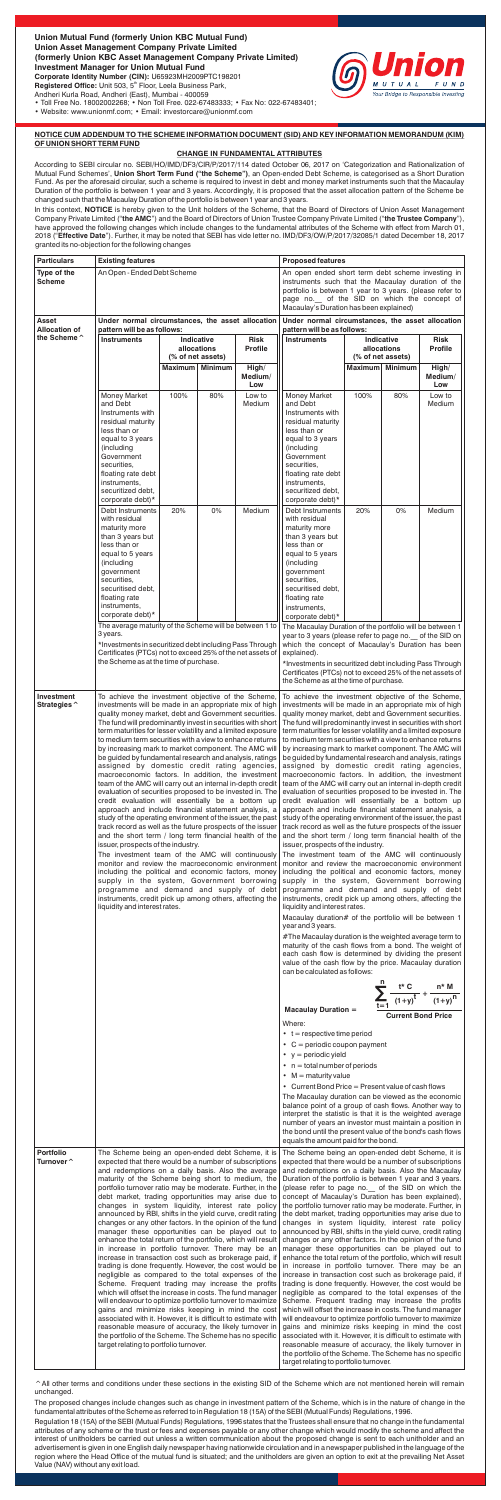**Union Mutual Fund (formerly Union KBC Mutual Fund) Union Asset Management Company Private Limited (formerly Union KBC Asset Management Company Private Limited) Investment Manager for Union Mutual Fund Corporate Identity Number (CIN):** U65923MH2009PTC198201<br>**Registered Office:** Unit 503, 5<sup>th</sup> Floor, Leela Business Park, Andheri Kurla Road, Andheri (East), Mumbai - 400059



• Toll Free No. 18002002268; • Non Toll Free. 022-67483333; • Fax No: 022-67483401;

• Website: www.unionmf.com; • Email: investorcare@unionmf.com

**NOTICE CUM ADDENDUM TO THE SCHEME INFORMATION DOCUMENT (SID) AND KEY INFORMATION MEMORANDUM (KIM) OF UNION SHORT TERM FUND**

### **CHANGE IN FUNDAMENTAL ATTRIBUTES**

According to SEBI circular no. SEBI/HO/IMD/DF3/CIR/P/2017/114 dated October 06, 2017 on 'Categorization and Rationalization of Mutual Fund Schemes', **Union Short Term Fund ("the Scheme")**, an Open-ended Debt Scheme, is categorised as a Short Duration Fund. As per the aforesaid circular, such a scheme is required to invest in debt and money market instruments such that the Macaulay Duration of the portfolio is between 1 year and 3 years. Accordingly, it is proposed that the asset allocation pattern of the Scheme be changed such that the Macaulay Duration of the portfolio is between 1 year and 3 years.

In this context, **NOTICE** is hereby given to the Unit holders of the Scheme, that the Board of Directors of Union Asset Management Company Private Limited ("**the AMC**") and the Board of Directors of Union Trustee Company Private Limited ("**the Trustee Company**"), have approved the following changes which include changes to the fundamental attributes of the Scheme with effect from March 01, 2018 ("**Effective Date**"). Further, it may be noted that SEBI has vide letter no. IMD/DF3/OW/P/2017/32085/1 dated December 18, 2017 granted its no-objection for the following changes

^All other terms and conditions under these sections in the existing SID of the Scheme which are not mentioned herein will remain unchanged.

The proposed changes include changes such as change in investment pattern of the Scheme, which is in the nature of change in the fundamental attributes of the Scheme as referred to in Regulation 18 (15A) of the SEBI (Mutual Funds) Regulations, 1996.

Regulation 18 (15A) of the SEBI (Mutual Funds) Regulations, 1996 states that the Trustees shall ensure that no change in the fundamental attributes of any scheme or the trust or fees and expenses payable or any other change which would modify the scheme and affect the interest of unitholders be carried out unless a written communication about the proposed change is sent to each unitholder and an advertisement is given in one English daily newspaper having nationwide circulation and in a newspaper published in the language of the region where the Head Office of the mutual fund is situated; and the unitholders are given an option to exit at the prevailing Net Asset Value (NAV) without any exit load.

| Particulars                    | <b>Existing features</b>                                                                                                                                                                                                                                                                                                                                                                                                                                                                                                                                                                                                                                                                                                                                                                                                                                                                                                                                                                                                                                                                                                                                                                                                                                                                                                                                                                                         |                |                                                    |                                    | Proposed features                                                                                                                                                                                                                                                                                                                                                                                                                                                                                                                                                                                                                                                                                                                                                                                                                                                                                                                                                                                                                                                                                                                                                                                                                                                                                                                                                                                                                                                                                                                                                                                                                                                                                                                                                                           |                |                                                    |                             |
|--------------------------------|------------------------------------------------------------------------------------------------------------------------------------------------------------------------------------------------------------------------------------------------------------------------------------------------------------------------------------------------------------------------------------------------------------------------------------------------------------------------------------------------------------------------------------------------------------------------------------------------------------------------------------------------------------------------------------------------------------------------------------------------------------------------------------------------------------------------------------------------------------------------------------------------------------------------------------------------------------------------------------------------------------------------------------------------------------------------------------------------------------------------------------------------------------------------------------------------------------------------------------------------------------------------------------------------------------------------------------------------------------------------------------------------------------------|----------------|----------------------------------------------------|------------------------------------|---------------------------------------------------------------------------------------------------------------------------------------------------------------------------------------------------------------------------------------------------------------------------------------------------------------------------------------------------------------------------------------------------------------------------------------------------------------------------------------------------------------------------------------------------------------------------------------------------------------------------------------------------------------------------------------------------------------------------------------------------------------------------------------------------------------------------------------------------------------------------------------------------------------------------------------------------------------------------------------------------------------------------------------------------------------------------------------------------------------------------------------------------------------------------------------------------------------------------------------------------------------------------------------------------------------------------------------------------------------------------------------------------------------------------------------------------------------------------------------------------------------------------------------------------------------------------------------------------------------------------------------------------------------------------------------------------------------------------------------------------------------------------------------------|----------------|----------------------------------------------------|-----------------------------|
| Type of the<br><b>Scheme</b>   | An Open - Ended Debt Scheme                                                                                                                                                                                                                                                                                                                                                                                                                                                                                                                                                                                                                                                                                                                                                                                                                                                                                                                                                                                                                                                                                                                                                                                                                                                                                                                                                                                      |                |                                                    |                                    | An open ended short term debt scheme investing in<br>instruments such that the Macaulay duration of the<br>portfolio is between 1 year to 3 years. (please refer to<br>of the SID on which the concept of<br>page no.                                                                                                                                                                                                                                                                                                                                                                                                                                                                                                                                                                                                                                                                                                                                                                                                                                                                                                                                                                                                                                                                                                                                                                                                                                                                                                                                                                                                                                                                                                                                                                       |                |                                                    |                             |
| Asset                          | Under normal circumstances, the asset allocation                                                                                                                                                                                                                                                                                                                                                                                                                                                                                                                                                                                                                                                                                                                                                                                                                                                                                                                                                                                                                                                                                                                                                                                                                                                                                                                                                                 |                |                                                    |                                    | Macaulay's Duration has been explained)<br>Under normal circumstances, the asset allocation                                                                                                                                                                                                                                                                                                                                                                                                                                                                                                                                                                                                                                                                                                                                                                                                                                                                                                                                                                                                                                                                                                                                                                                                                                                                                                                                                                                                                                                                                                                                                                                                                                                                                                 |                |                                                    |                             |
| Allocation of<br>the Scheme ^  | pattern will be as follows:<br><b>Instruments</b><br><b>Risk</b><br>Indicative                                                                                                                                                                                                                                                                                                                                                                                                                                                                                                                                                                                                                                                                                                                                                                                                                                                                                                                                                                                                                                                                                                                                                                                                                                                                                                                                   |                |                                                    |                                    | pattern will be as follows:<br><b>Instruments</b><br>Indicative<br><b>Risk</b>                                                                                                                                                                                                                                                                                                                                                                                                                                                                                                                                                                                                                                                                                                                                                                                                                                                                                                                                                                                                                                                                                                                                                                                                                                                                                                                                                                                                                                                                                                                                                                                                                                                                                                              |                |                                                    |                             |
|                                |                                                                                                                                                                                                                                                                                                                                                                                                                                                                                                                                                                                                                                                                                                                                                                                                                                                                                                                                                                                                                                                                                                                                                                                                                                                                                                                                                                                                                  | <b>Maximum</b> | allocations<br>(% of net assets)<br><b>Minimum</b> | <b>Profile</b><br>High/<br>Medium/ |                                                                                                                                                                                                                                                                                                                                                                                                                                                                                                                                                                                                                                                                                                                                                                                                                                                                                                                                                                                                                                                                                                                                                                                                                                                                                                                                                                                                                                                                                                                                                                                                                                                                                                                                                                                             | <b>Maximum</b> | allocations<br>(% of net assets)<br><b>Minimum</b> | Profile<br>High/<br>Medium/ |
|                                | <b>Money Market</b><br>and Debt<br>Instruments with<br>residual maturity<br>less than or<br>equal to 3 years<br>(including<br>Government<br>securities.                                                                                                                                                                                                                                                                                                                                                                                                                                                                                                                                                                                                                                                                                                                                                                                                                                                                                                                                                                                                                                                                                                                                                                                                                                                          | 100%           | 80%                                                | Low<br>Low to<br>Medium            | Money Market<br>and Debt<br>Instruments with<br>residual maturity<br>less than or<br>equal to 3 years<br>(including<br>Government<br>securities,                                                                                                                                                                                                                                                                                                                                                                                                                                                                                                                                                                                                                                                                                                                                                                                                                                                                                                                                                                                                                                                                                                                                                                                                                                                                                                                                                                                                                                                                                                                                                                                                                                            | 100%           | 80%                                                | Low<br>Low to<br>Medium     |
|                                | floating rate debt<br>instruments,<br>securitized debt,<br>corporate debt)*<br>Debt Instruments                                                                                                                                                                                                                                                                                                                                                                                                                                                                                                                                                                                                                                                                                                                                                                                                                                                                                                                                                                                                                                                                                                                                                                                                                                                                                                                  | 20%            | 0%                                                 | Medium                             | floating rate debt<br>instruments,<br>securitized debt,<br>corporate debt)*<br>Debt Instruments                                                                                                                                                                                                                                                                                                                                                                                                                                                                                                                                                                                                                                                                                                                                                                                                                                                                                                                                                                                                                                                                                                                                                                                                                                                                                                                                                                                                                                                                                                                                                                                                                                                                                             | 20%            | 0%                                                 | Medium                      |
|                                | with residual<br>maturity more<br>than 3 years but<br>less than or<br>equal to 5 years<br>(including<br>government<br>securities.<br>securitised debt,<br>floating rate<br>instruments,<br>corporate debt)*                                                                                                                                                                                                                                                                                                                                                                                                                                                                                                                                                                                                                                                                                                                                                                                                                                                                                                                                                                                                                                                                                                                                                                                                      |                |                                                    |                                    | with residual<br>maturity more<br>than 3 years but<br>less than or<br>equal to 5 years<br>(including<br>government<br>securities,<br>securitised debt,<br>floating rate<br>instruments,<br>corporate debt)*                                                                                                                                                                                                                                                                                                                                                                                                                                                                                                                                                                                                                                                                                                                                                                                                                                                                                                                                                                                                                                                                                                                                                                                                                                                                                                                                                                                                                                                                                                                                                                                 |                |                                                    |                             |
|                                | The average maturity of the Scheme will be between 1 to<br>3 years.<br>*Investments in securitized debt including Pass Through<br>Certificates (PTCs) not to exceed 25% of the net assets of<br>the Scheme as at the time of purchase.                                                                                                                                                                                                                                                                                                                                                                                                                                                                                                                                                                                                                                                                                                                                                                                                                                                                                                                                                                                                                                                                                                                                                                           |                |                                                    |                                    | The Macaulay Duration of the portfolio will be between 1<br>year to 3 years (please refer to page no. of the SID on<br>which the concept of Macaulay's Duration has been<br>explained).<br>*Investments in securitized debt including Pass Through<br>Certificates (PTCs) not to exceed 25% of the net assets of<br>the Scheme as at the time of purchase.                                                                                                                                                                                                                                                                                                                                                                                                                                                                                                                                                                                                                                                                                                                                                                                                                                                                                                                                                                                                                                                                                                                                                                                                                                                                                                                                                                                                                                  |                |                                                    |                             |
| Investment<br>Strategies ^     | To achieve the investment objective of the Scheme,<br>investments will be made in an appropriate mix of high<br>quality money market, debt and Government securities.<br>The fund will predominantly invest in securities with short<br>term maturities for lesser volatility and a limited exposure<br>to medium term securities with a view to enhance returns<br>by increasing mark to market component. The AMC will<br>be quided by fundamental research and analysis, ratings<br>assigned by domestic credit rating agencies,<br>macroeconomic factors. In addition, the investment<br>team of the AMC will carry out an internal in-depth credit<br>evaluation of securities proposed to be invested in. The<br>credit evaluation will essentially be a bottom up<br>approach and include financial statement analysis, a<br>study of the operating environment of the issuer, the past<br>track record as well as the future prospects of the issuer<br>and the short term / long term financial health of the<br>issuer, prospects of the industry.<br>The investment team of the AMC will continuously<br>monitor and review the macroeconomic environment<br>including the political and economic factors, money<br>supply in the system, Government borrowing<br>programme and demand and supply of debt<br>instruments, credit pick up among others, affecting the<br>liquidity and interest rates. |                |                                                    |                                    | To achieve the investment objective of the Scheme,<br>investments will be made in an appropriate mix of high<br>quality money market, debt and Government securities.<br>The fund will predominantly invest in securities with short  <br>term maturities for lesser volatility and a limited exposure<br>to medium term securities with a view to enhance returns<br>by increasing mark to market component. The AMC will<br>be quided by fundamental research and analysis, ratings<br>assigned by domestic credit rating agencies,<br>macroeconomic factors. In addition, the investment<br>team of the AMC will carry out an internal in-depth credit<br>evaluation of securities proposed to be invested in. The<br>credit evaluation will essentially be a bottom up<br>approach and include financial statement analysis, a<br>study of the operating environment of the issuer, the past<br>track record as well as the future prospects of the issuer<br>and the short term / long term financial health of the<br>issuer, prospects of the industry.<br>The investment team of the AMC will continuously<br>monitor and review the macroeconomic environment<br>including the political and economic factors, money<br>supply in the system, Government borrowing<br>programme and demand and supply of debt<br>instruments, credit pick up among others, affecting the<br>liquidity and interest rates.<br>Macaulay duration# of the portfolio will be between 1<br>year and 3 years.<br>#The Macaulay duration is the weighted average term to<br>maturity of the cash flows from a bond. The weight of<br>each cash flow is determined by dividing the present<br>value of the cash flow by the price. Macaulay duration<br>can be calculated as follows:<br>n<br>t* C<br>n* M |                |                                                    |                             |
|                                |                                                                                                                                                                                                                                                                                                                                                                                                                                                                                                                                                                                                                                                                                                                                                                                                                                                                                                                                                                                                                                                                                                                                                                                                                                                                                                                                                                                                                  |                |                                                    |                                    | <b>Macaulay Duration =</b>                                                                                                                                                                                                                                                                                                                                                                                                                                                                                                                                                                                                                                                                                                                                                                                                                                                                                                                                                                                                                                                                                                                                                                                                                                                                                                                                                                                                                                                                                                                                                                                                                                                                                                                                                                  |                | $(1 + y)$                                          | $(1+y)^{\overline{n}}$      |
|                                |                                                                                                                                                                                                                                                                                                                                                                                                                                                                                                                                                                                                                                                                                                                                                                                                                                                                                                                                                                                                                                                                                                                                                                                                                                                                                                                                                                                                                  |                |                                                    |                                    | Where:<br>$\bullet$ t = respective time period<br>$\bullet$ C = periodic coupon payment<br>• $y =$ periodic yield<br>$\bullet$ n = total number of periods<br>$\bullet$ M = maturity value<br>Current Bond Price = Present value of cash flows<br>The Macaulay duration can be viewed as the economic<br>balance point of a group of cash flows. Another way to<br>interpret the statistic is that it is the weighted average<br>number of years an investor must maintain a position in<br>the bond until the present value of the bond's cash flows<br>equals the amount paid for the bond.                                                                                                                                                                                                                                                                                                                                                                                                                                                                                                                                                                                                                                                                                                                                                                                                                                                                                                                                                                                                                                                                                                                                                                                               |                | <b>Current Bond Price</b>                          |                             |
| <b>Portfolio</b><br>Turnover ^ | The Scheme being an open-ended debt Scheme, it is<br>expected that there would be a number of subscriptions<br>and redemptions on a daily basis. Also the average<br>maturity of the Scheme being short to medium, the<br>portfolio turnover ratio may be moderate. Further, in the<br>debt market, trading opportunities may arise due to<br>changes in system liquidity, interest rate policy<br>announced by RBI, shifts in the yield curve, credit rating<br>changes or any other factors. In the opinion of the fund<br>manager these opportunities can be played out to<br>enhance the total return of the portfolio, which will result<br>in increase in portfolio turnover. There may be an<br>increase in transaction cost such as brokerage paid, if<br>trading is done frequently. However, the cost would be<br>negligible as compared to the total expenses of the<br>Scheme. Frequent trading may increase the profits<br>which will offset the increase in costs. The fund manager<br>will endeavour to optimize portfolio turnover to maximize<br>gains and minimize risks keeping in mind the cost<br>associated with it. However, it is difficult to estimate with<br>reasonable measure of accuracy, the likely turnover in<br>the portfolio of the Scheme. The Scheme has no specific<br>target relating to portfolio turnover.                                                              |                |                                                    |                                    | The Scheme being an open-ended debt Scheme, it is<br>expected that there would be a number of subscriptions<br>and redemptions on a daily basis. Also the Macaulay<br>Duration of the portfolio is between 1 year and 3 years.<br>(please refer to page no.<br>of the SID on which the<br>concept of Macaulay's Duration has been explained),<br>the portfolio turnover ratio may be moderate. Further, in<br>the debt market, trading opportunities may arise due to<br>changes in system liquidity, interest rate policy<br>announced by RBI, shifts in the yield curve, credit rating<br>changes or any other factors. In the opinion of the fund<br>manager these opportunities can be played out to<br>enhance the total return of the portfolio, which will result<br>in increase in portfolio turnover. There may be an<br>increase in transaction cost such as brokerage paid, if<br>trading is done frequently. However, the cost would be<br>negligible as compared to the total expenses of the<br>Scheme. Frequent trading may increase the profits<br>which will offset the increase in costs. The fund manager<br>will endeavour to optimize portfolio turnover to maximize<br>gains and minimize risks keeping in mind the cost<br>associated with it. However, it is difficult to estimate with<br>reasonable measure of accuracy, the likely turnover in<br>the portfolio of the Scheme. The Scheme has no specific<br>target relating to portfolio turnover.                                                                                                                                                                                                                                                                                                              |                |                                                    |                             |